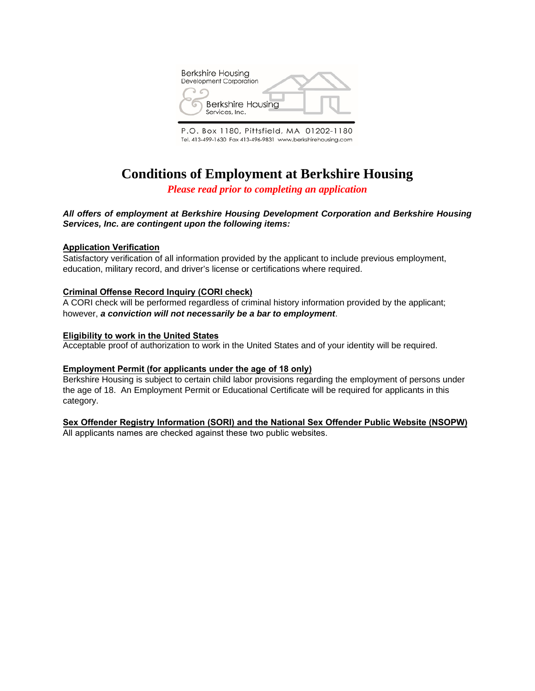

P.O. Box 1180, Pittsfield, MA 01202-1180 Tel. 413-499-1630 Fax 413-496-9831 www.berkshirehousing.com

# **Conditions of Employment at Berkshire Housing**

*Please read prior to completing an application* 

### *All offers of employment at Berkshire Housing Development Corporation and Berkshire Housing Services, Inc. are contingent upon the following items:*

#### **Application Verification**

Satisfactory verification of all information provided by the applicant to include previous employment, education, military record, and driver's license or certifications where required.

#### **Criminal Offense Record Inquiry (CORI check)**

A CORI check will be performed regardless of criminal history information provided by the applicant; however, *a conviction will not necessarily be a bar to employment*.

#### **Eligibility to work in the United States**

Acceptable proof of authorization to work in the United States and of your identity will be required.

#### **Employment Permit (for applicants under the age of 18 only)**

Berkshire Housing is subject to certain child labor provisions regarding the employment of persons under the age of 18. An Employment Permit or Educational Certificate will be required for applicants in this category.

### **Sex Offender Registry Information (SORI) and the National Sex Offender Public Website (NSOPW)**

All applicants names are checked against these two public websites.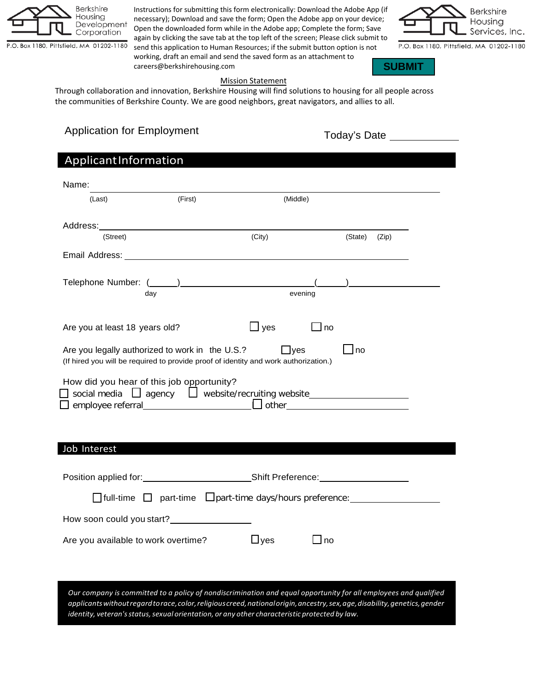

Instructions for submitting this form electronically: Download the Adobe App (if necessary); Download and save the form; Open the Adobe app on your device; Open the downloaded form while in the Adobe app; Complete the form; Save again by clicking the save tab at the top left of the screen; Please click submit to send this application to Human Resources; if the submit button option is not

working, draft an email and send the saved form as an attachment to careers@berkshirehousing.com



P.O. Box 1180, Pittsfield, MA 01202-1180



### Mission Statement

Through collaboration and innovation, Berkshire Housing will find solutions to housing for all people across the communities of Berkshire County. We are good neighbors, great navigators, and allies to all.

# Today's Date Application for Employment

| ApplicantInformation                                                                                                                                                                                                                   |         |            |      |             |       |  |
|----------------------------------------------------------------------------------------------------------------------------------------------------------------------------------------------------------------------------------------|---------|------------|------|-------------|-------|--|
| Name:                                                                                                                                                                                                                                  |         |            |      |             |       |  |
| (Last)                                                                                                                                                                                                                                 | (First) | (Middle)   |      |             |       |  |
|                                                                                                                                                                                                                                        |         |            |      |             |       |  |
|                                                                                                                                                                                                                                        |         |            |      |             |       |  |
| (Street)                                                                                                                                                                                                                               |         | (City)     |      | (State)     | (Zip) |  |
|                                                                                                                                                                                                                                        |         |            |      |             |       |  |
|                                                                                                                                                                                                                                        |         |            |      |             |       |  |
| day                                                                                                                                                                                                                                    |         | evening    |      |             |       |  |
|                                                                                                                                                                                                                                        |         |            |      |             |       |  |
| Are you at least 18 years old?                                                                                                                                                                                                         |         | $\Box$ yes | ⊿ no |             |       |  |
|                                                                                                                                                                                                                                        |         |            |      |             |       |  |
| Are you legally authorized to work in the U.S.?                                                                                                                                                                                        |         | $\Box$ yes |      | $\sqcup$ no |       |  |
| (If hired you will be required to provide proof of identity and work authorization.)                                                                                                                                                   |         |            |      |             |       |  |
| How did you hear of this job opportunity?                                                                                                                                                                                              |         |            |      |             |       |  |
|                                                                                                                                                                                                                                        |         |            |      |             |       |  |
|                                                                                                                                                                                                                                        |         |            |      |             |       |  |
|                                                                                                                                                                                                                                        |         |            |      |             |       |  |
| Job Interest                                                                                                                                                                                                                           |         |            |      |             |       |  |
|                                                                                                                                                                                                                                        |         |            |      |             |       |  |
|                                                                                                                                                                                                                                        |         |            |      |             |       |  |
|                                                                                                                                                                                                                                        |         |            |      |             |       |  |
| How soon could you start?<br><u>Letter and the sound of the sound of the start of the start of the start of the start of the start of the start of the start of the start of the start of the start of the start of the start of t</u> |         |            |      |             |       |  |
|                                                                                                                                                                                                                                        |         |            |      |             |       |  |
| Are you available to work overtime?                                                                                                                                                                                                    |         | Jyes       | no   |             |       |  |
|                                                                                                                                                                                                                                        |         |            |      |             |       |  |
|                                                                                                                                                                                                                                        |         |            |      |             |       |  |
| Our company is committed to a policy of nondiscrimination and equal opportunity for all employees and qualified                                                                                                                        |         |            |      |             |       |  |
| applicants without regard to race, color, religious creed, national origin, ancestry, sex, age, disability, genetics, gender<br>identity, veteran's status, sexual orientation, or any other characteristic protected by law.          |         |            |      |             |       |  |
|                                                                                                                                                                                                                                        |         |            |      |             |       |  |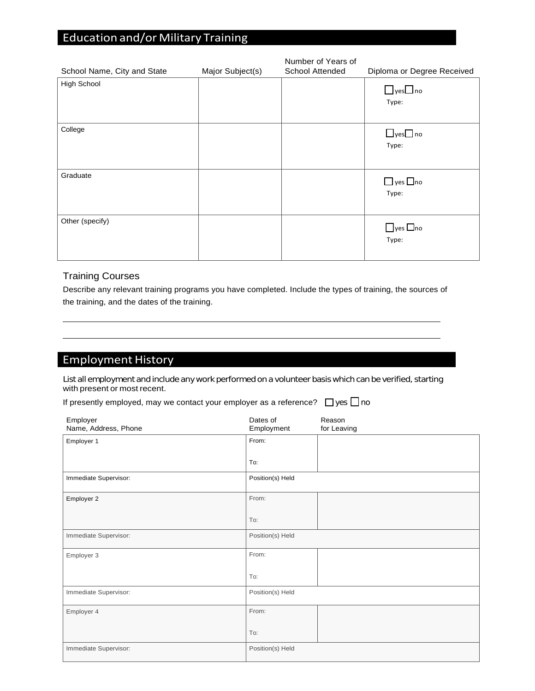# **Education and/or Military Training**

| School Name, City and State | Major Subject(s) | Number of Years of<br>School Attended | Diploma or Degree Received    |
|-----------------------------|------------------|---------------------------------------|-------------------------------|
| High School                 |                  |                                       | $\Box$ yes $\Box$ no<br>Type: |
| College                     |                  |                                       | $\Box$ yes $\Box$ no<br>Type: |
| Graduate                    |                  |                                       | $\Box$ yes $\Box$ no<br>Type: |
| Other (specify)             |                  |                                       | $\Box$ yes $\Box$ no<br>Type: |

### Training Courses

Describe any relevant training programs you have completed. Include the types of training, the sources of the training, and the dates of the training.

# Employment History

List all employment and include any work performed on a volunteer basis which can be verified, starting with present or most recent.

|  | If presently employed, may we contact your employer as a reference? $\Box$ yes $\Box$ no |  |  |
|--|------------------------------------------------------------------------------------------|--|--|
|--|------------------------------------------------------------------------------------------|--|--|

| Employer<br>Name, Address, Phone | Dates of<br>Employment | Reason<br>for Leaving |
|----------------------------------|------------------------|-----------------------|
| Employer 1                       | From:                  |                       |
|                                  | To:                    |                       |
| Immediate Supervisor:            | Position(s) Held       |                       |
| Employer 2                       | From:                  |                       |
|                                  | To:                    |                       |
| Immediate Supervisor:            | Position(s) Held       |                       |
| Employer 3                       | From:                  |                       |
|                                  | To:                    |                       |
| Immediate Supervisor:            | Position(s) Held       |                       |
| Employer 4                       | From:                  |                       |
|                                  | To:                    |                       |
| Immediate Supervisor:            | Position(s) Held       |                       |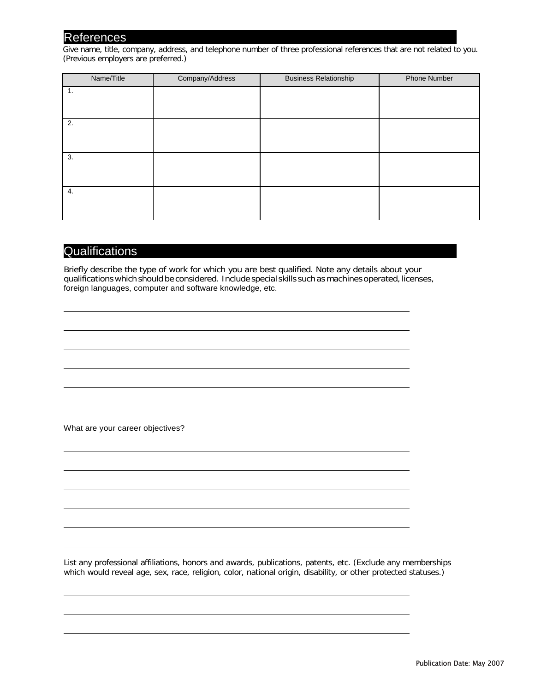## References

Give name, title, company, address, and telephone number of three professional references that are not related to you. (Previous employers are preferred.)

| Name/Title | Company/Address | <b>Business Relationship</b> | <b>Phone Number</b> |
|------------|-----------------|------------------------------|---------------------|
| 1.         |                 |                              |                     |
|            |                 |                              |                     |
| 2.         |                 |                              |                     |
|            |                 |                              |                     |
| 3.         |                 |                              |                     |
|            |                 |                              |                     |
| 4.         |                 |                              |                     |
|            |                 |                              |                     |

## **Qualifications**

Briefly describe the type of work for which you are best qualified. Note any details about your qualifications which should be considered. Include special skills such as machines operated, licenses, foreign languages, computer and software knowledge, etc.

What are your career objectives?

List any professional affiliations, honors and awards, publications, patents, etc. (Exclude any memberships which would reveal age, sex, race, religion, color, national origin, disability, or other protected statuses.)